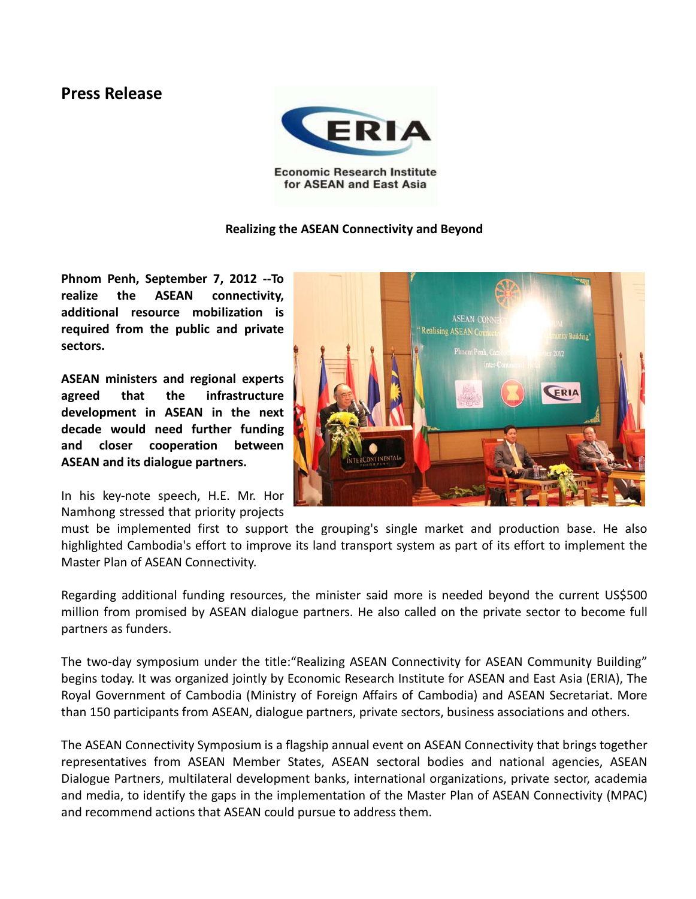## **Press Release**



for ASEAN and East Asia

## **Realizing the ASEAN Connectivity and Beyond**

**Phnom Penh, September 7, 2012 --To realize the ASEAN connectivity, additional resource mobilization is required from the public and private sectors.** 

**ASEAN ministers and regional experts agreed that the infrastructure development in ASEAN in the next decade would need further funding and closer cooperation between ASEAN and its dialogue partners.**

In his key-note speech, H.E. Mr. Hor Namhong stressed that priority projects



must be implemented first to support the grouping's single market and production base. He also highlighted Cambodia's effort to improve its land transport system as part of its effort to implement the Master Plan of ASEAN Connectivity.

Regarding additional funding resources, the minister said more is needed beyond the current US\$500 million from promised by ASEAN dialogue partners. He also called on the private sector to become full partners as funders.

The two-day symposium under the title:"Realizing ASEAN Connectivity for ASEAN Community Building" begins today. It was organized jointly by Economic Research Institute for ASEAN and East Asia (ERIA), The Royal Government of Cambodia (Ministry of Foreign Affairs of Cambodia) and ASEAN Secretariat. More than 150 participants from ASEAN, dialogue partners, private sectors, business associations and others.

The ASEAN Connectivity Symposium is a flagship annual event on ASEAN Connectivity that brings together representatives from ASEAN Member States, ASEAN sectoral bodies and national agencies, ASEAN Dialogue Partners, multilateral development banks, international organizations, private sector, academia and media, to identify the gaps in the implementation of the Master Plan of ASEAN Connectivity (MPAC) and recommend actions that ASEAN could pursue to address them.